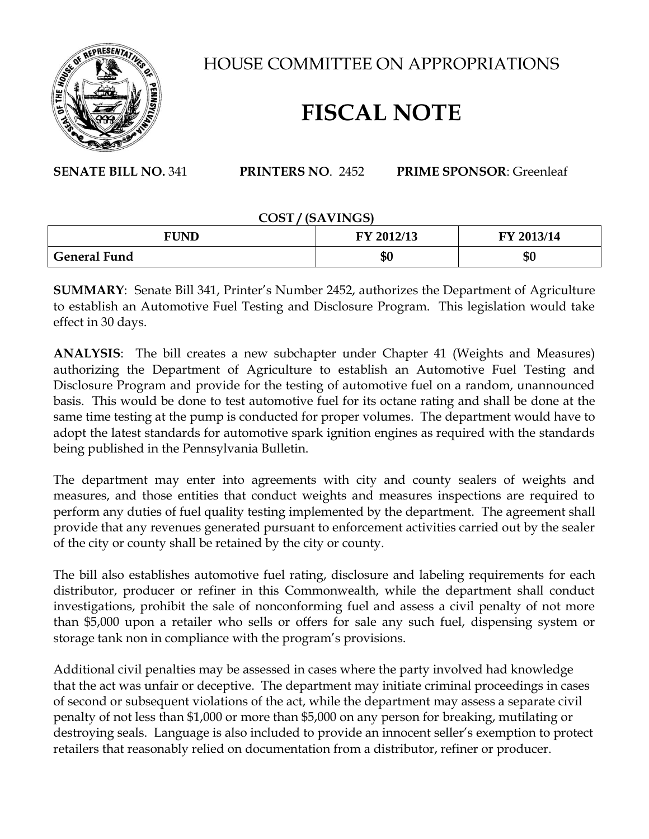

HOUSE COMMITTEE ON APPROPRIATIONS

## **FISCAL NOTE**

**SENATE BILL NO.** 341 **PRINTERS NO**. 2452 **PRIME SPONSOR**: Greenleaf

## **COST / (SAVINGS)**

| FUND                | FY 2012/13 | FY 2013/14 |
|---------------------|------------|------------|
| <b>General Fund</b> | ሰባ<br>50   | \$0        |

**SUMMARY**: Senate Bill 341, Printer's Number 2452, authorizes the Department of Agriculture to establish an Automotive Fuel Testing and Disclosure Program. This legislation would take effect in 30 days.

**ANALYSIS**: The bill creates a new subchapter under Chapter 41 (Weights and Measures) authorizing the Department of Agriculture to establish an Automotive Fuel Testing and Disclosure Program and provide for the testing of automotive fuel on a random, unannounced basis. This would be done to test automotive fuel for its octane rating and shall be done at the same time testing at the pump is conducted for proper volumes. The department would have to adopt the latest standards for automotive spark ignition engines as required with the standards being published in the Pennsylvania Bulletin.

The department may enter into agreements with city and county sealers of weights and measures, and those entities that conduct weights and measures inspections are required to perform any duties of fuel quality testing implemented by the department. The agreement shall provide that any revenues generated pursuant to enforcement activities carried out by the sealer of the city or county shall be retained by the city or county.

The bill also establishes automotive fuel rating, disclosure and labeling requirements for each distributor, producer or refiner in this Commonwealth, while the department shall conduct investigations, prohibit the sale of nonconforming fuel and assess a civil penalty of not more than \$5,000 upon a retailer who sells or offers for sale any such fuel, dispensing system or storage tank non in compliance with the program's provisions.

Additional civil penalties may be assessed in cases where the party involved had knowledge that the act was unfair or deceptive. The department may initiate criminal proceedings in cases of second or subsequent violations of the act, while the department may assess a separate civil penalty of not less than \$1,000 or more than \$5,000 on any person for breaking, mutilating or destroying seals. Language is also included to provide an innocent seller's exemption to protect retailers that reasonably relied on documentation from a distributor, refiner or producer.